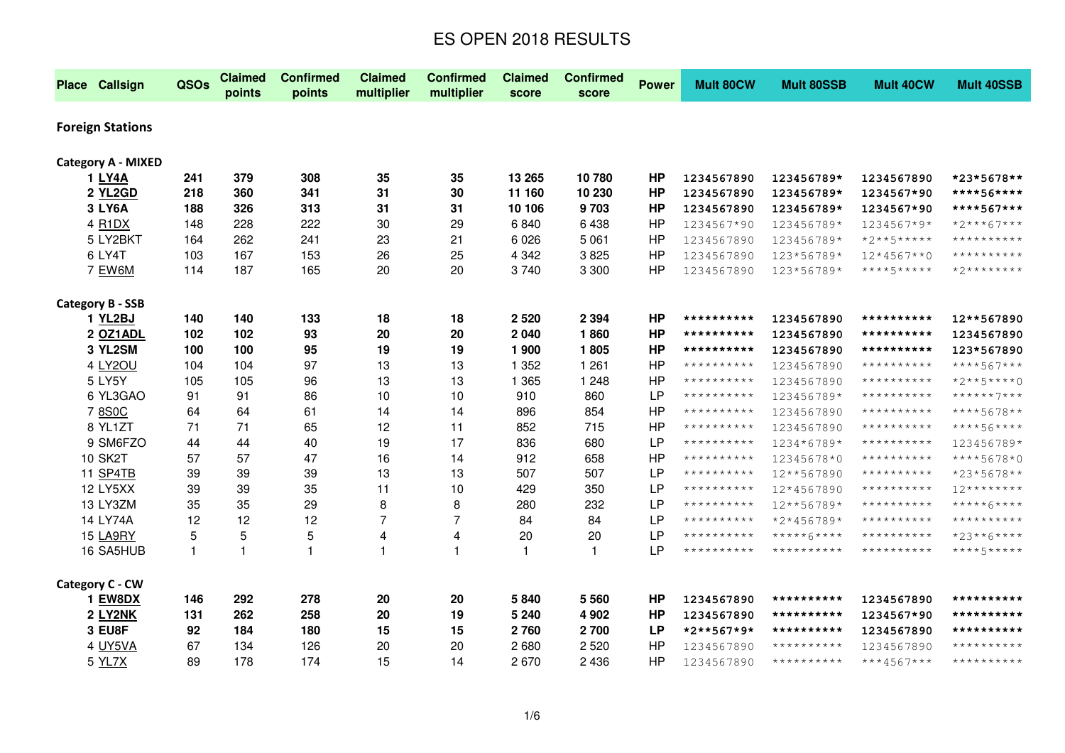| <b>Place Callsign</b>           | QSOs         | <b>Claimed</b><br>points | <b>Confirmed</b><br>points | <b>Claimed</b><br>multiplier | <b>Confirmed</b><br>multiplier | <b>Claimed</b><br>score | <b>Confirmed</b><br>score | <b>Power</b> | <b>Mult 80CW</b> | <b>Mult 80SSB</b> | <b>Mult 40CW</b> | <b>Mult 40SSB</b>   |
|---------------------------------|--------------|--------------------------|----------------------------|------------------------------|--------------------------------|-------------------------|---------------------------|--------------|------------------|-------------------|------------------|---------------------|
| <b>Foreign Stations</b>         |              |                          |                            |                              |                                |                         |                           |              |                  |                   |                  |                     |
| <b>Category A - MIXED</b>       |              |                          |                            |                              |                                |                         |                           |              |                  |                   |                  |                     |
| 1 LY4A                          | 241          | 379                      | 308                        | 35                           | 35                             | 13 265                  | 10780                     | <b>HP</b>    | 1234567890       | 123456789*        | 1234567890       | *23*5678**          |
| 2 YL2GD                         | 218          | 360                      | 341                        | 31                           | 30                             | 11 160                  | 10 230                    | <b>HP</b>    | 1234567890       | 123456789*        | 1234567*90       | ****56****          |
| 3 LY6A                          | 188          | 326                      | 313                        | 31                           | 31                             | 10 106                  | 9703                      | <b>HP</b>    | 1234567890       | 123456789*        | 1234567*90       | ****567***          |
| 4 R <sub>1</sub> D <sub>X</sub> | 148          | 228                      | 222                        | 30                           | 29                             | 6840                    | 6438                      | <b>HP</b>    | 1234567*90       | 123456789*        | 1234567*9*       | $*2***67***$        |
| 5 LY2BKT                        | 164          | 262                      | 241                        | 23                           | 21                             | 6 0 26                  | 5 0 6 1                   | HP           | 1234567890       | 123456789*        | $*2***5****$     | **********          |
| 6 LY4T                          | 103          | 167                      | 153                        | 26                           | 25                             | 4 3 4 2                 | 3825                      | <b>HP</b>    | 1234567890       | 123*56789*        | $12*4567**0$     | **********          |
| 7 EW6M                          | 114          | 187                      | 165                        | 20                           | 20                             | 3740                    | 3 3 0 0                   | <b>HP</b>    | 1234567890       | 123*56789*        | ****5*****       | *2********          |
| <b>Category B - SSB</b>         |              |                          |                            |                              |                                |                         |                           |              |                  |                   |                  |                     |
| 1 YL2BJ                         | 140          | 140                      | 133                        | 18                           | 18                             | 2 5 2 0                 | 2 3 9 4                   | <b>HP</b>    | **********       | 1234567890        | **********       | 12**567890          |
| 2 OZ1ADL                        | 102          | 102                      | 93                         | 20                           | 20                             | 2 0 4 0                 | 1860                      | HP           | **********       | 1234567890        | **********       | 1234567890          |
| 3 YL2SM                         | 100          | 100                      | 95                         | 19                           | 19                             | 1 900                   | 1805                      | <b>HP</b>    | **********       | 1234567890        | **********       | 123*567890          |
| 4 LY2OU                         | 104          | 104                      | 97                         | 13                           | 13                             | 1 3 5 2                 | 1 2 6 1                   | <b>HP</b>    | **********       | 1234567890        | **********       | ****567***          |
| 5 LY5Y                          | 105          | 105                      | 96                         | 13                           | 13                             | 1 3 6 5                 | 1 2 4 8                   | <b>HP</b>    | **********       | 1234567890        | **********       | $*2***5***0$        |
| 6 YL3GAO                        | 91           | 91                       | 86                         | 10                           | 10                             | 910                     | 860                       | <b>LP</b>    | **********       | 123456789*        | **********       | ******7***          |
| 7 8S0C                          | 64           | 64                       | 61                         | 14                           | 14                             | 896                     | 854                       | <b>HP</b>    | **********       | 1234567890        | **********       | ****5678**          |
| 8 YL1ZT                         | 71           | 71                       | 65                         | 12                           | 11                             | 852                     | 715                       | HP           | **********       | 1234567890        | **********       | ****56****          |
| 9 SM6FZO                        | 44           | 44                       | 40                         | 19                           | 17                             | 836                     | 680                       | LP           | **********       | 1234*6789*        | **********       | 123456789*          |
| <b>10 SK2T</b>                  | 57           | 57                       | 47                         | 16                           | 14                             | 912                     | 658                       | <b>HP</b>    | **********       | 12345678*0        | **********       | ****5678*0          |
| 11 SP4TB                        | 39           | 39                       | 39                         | 13                           | 13                             | 507                     | 507                       | <b>LP</b>    | **********       | 12**567890        | **********       | *23*5678**          |
| 12 LY5XX                        | 39           | 39                       | 35                         | 11                           | 10                             | 429                     | 350                       | <b>LP</b>    | **********       | 12*4567890        | **********       | $12*********$       |
| 13 LY3ZM                        | 35           | 35                       | 29                         | 8                            | 8                              | 280                     | 232                       | <b>LP</b>    | $************$   | 12**56789*        | **********       | *****6****          |
| 14 LY74A                        | 12           | 12                       | 12                         | 7                            | 7                              | 84                      | 84                        | <b>LP</b>    | $************$   | *2*456789*        | **********       | **********          |
| 15 LA9RY                        | 5            | 5                        | 5                          | 4                            | 4                              | 20                      | 20                        | LP           | **********       | $****+6***$       | **********       | *23**6****          |
| 16 SA5HUB                       | $\mathbf{1}$ | $\mathbf{1}$             | $\mathbf{1}$               | 1                            | 1                              | $\mathbf{1}$            | $\mathbf{1}$              | <b>LP</b>    | **********       | **********        | **********       | ****5*****          |
| Category C - CW                 |              |                          |                            |                              |                                |                         |                           |              |                  |                   |                  |                     |
| <b>1 EW8DX</b>                  | 146          | 292                      | 278                        | 20                           | 20                             | 5840                    | 5 5 6 0                   | <b>HP</b>    | 1234567890       | **********        | 1234567890       | **********          |
| 2 LY2NK                         | 131          | 262                      | 258                        | 20                           | 19                             | 5 2 4 0                 | 4 9 0 2                   | <b>HP</b>    | 1234567890       | **********        | 1234567*90       | **********          |
| 3 EU8F                          | 92           | 184                      | 180                        | 15                           | 15                             | 2 7 6 0                 | 2700                      | <b>LP</b>    | *2**567*9*       | **********        | 1234567890       | **********          |
| 4 UY5VA                         | 67           | 134                      | 126                        | 20                           | 20                             | 2680                    | 2 5 20                    | <b>HP</b>    | 1234567890       | **********        | 1234567890       | * * * * * * * * * * |
| 5 YL7X                          | 89           | 178                      | 174                        | 15                           | 14                             | 2670                    | 2 4 3 6                   | <b>HP</b>    | 1234567890       | **********        | ***4567***       | **********          |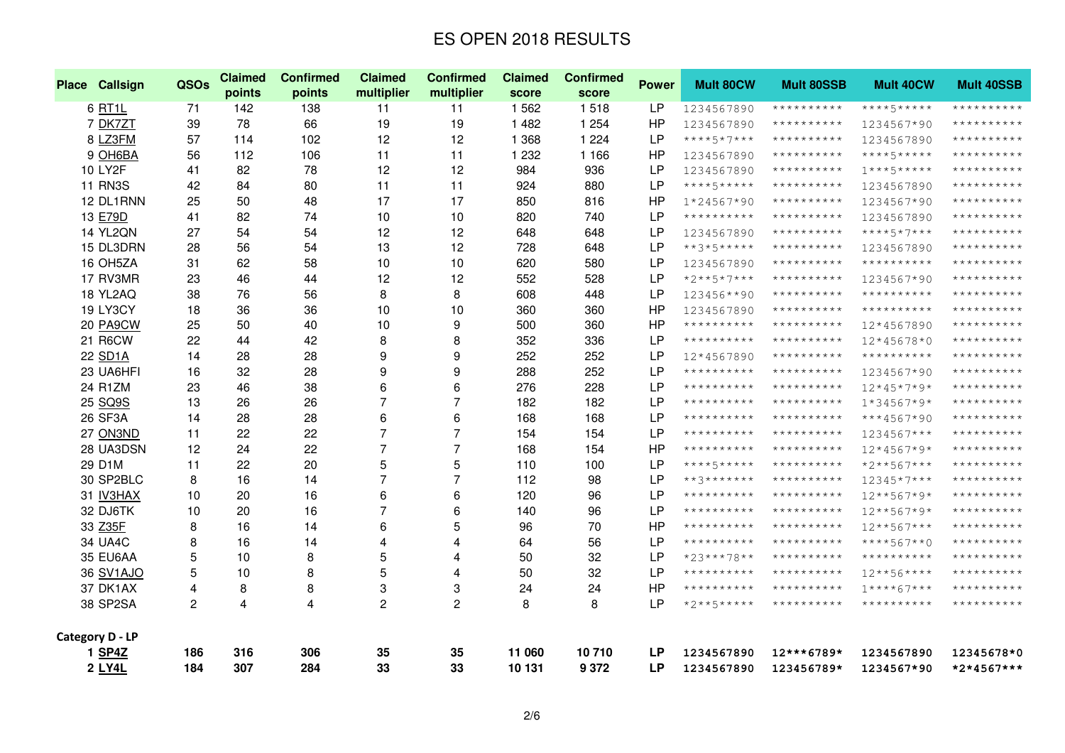| Place Callsign  | QSOs           | <b>Claimed</b><br>points | <b>Confirmed</b><br>points | <b>Claimed</b><br>multiplier | <b>Confirmed</b><br>multiplier | <b>Claimed</b><br>score | <b>Confirmed</b><br>score | <b>Power</b> | <b>Mult 80CW</b> | <b>Mult 80SSB</b> | <b>Mult 40CW</b> | <b>Mult 40SSB</b> |
|-----------------|----------------|--------------------------|----------------------------|------------------------------|--------------------------------|-------------------------|---------------------------|--------------|------------------|-------------------|------------------|-------------------|
| 6 RT1L          | 71             | 142                      | 138                        | 11                           | 11                             | 1562                    | 1518                      | <b>LP</b>    | 1234567890       | **********        | ****5*****       | **********        |
| 7 DK7ZT         | 39             | 78                       | 66                         | 19                           | 19                             | 1 4 8 2                 | 1 2 5 4                   | HP           | 1234567890       | **********        | 1234567*90       | **********        |
| 8 LZ3FM         | 57             | 114                      | 102                        | 12                           | 12                             | 1 3 6 8                 | 1 2 2 4                   | <b>LP</b>    | ****5*7***       | **********        | 1234567890       | **********        |
| 9 OH6BA         | 56             | 112                      | 106                        | 11                           | 11                             | 1 2 3 2                 | 1 1 6 6                   | HP           | 1234567890       | **********        | ****5*****       | **********        |
| <b>10 LY2F</b>  | 41             | 82                       | 78                         | 12                           | 12                             | 984                     | 936                       | <b>LP</b>    | 1234567890       | **********        | $1***5*****$     | **********        |
| <b>11 RN3S</b>  | 42             | 84                       | 80                         | 11                           | 11                             | 924                     | 880                       | <b>LP</b>    | ****5*****       | **********        | 1234567890       | **********        |
| 12 DL1RNN       | 25             | 50                       | 48                         | 17                           | 17                             | 850                     | 816                       | HP           | 1*24567*90       | **********        | 1234567*90       | **********        |
| 13 E79D         | 41             | 82                       | 74                         | 10                           | 10                             | 820                     | 740                       | <b>LP</b>    | **********       | **********        | 1234567890       | **********        |
| <b>14 YL2QN</b> | 27             | 54                       | 54                         | 12                           | 12                             | 648                     | 648                       | <b>LP</b>    | 1234567890       | **********        | $***+5*7***$     | **********        |
| 15 DL3DRN       | 28             | 56                       | 54                         | 13                           | 12                             | 728                     | 648                       | <b>LP</b>    | $***3*5*****$    | **********        | 1234567890       | **********        |
| 16 OH5ZA        | 31             | 62                       | 58                         | 10                           | 10                             | 620                     | 580                       | <b>LP</b>    | 1234567890       | **********        | **********       | **********        |
| 17 RV3MR        | 23             | 46                       | 44                         | 12                           | 12                             | 552                     | 528                       | <b>LP</b>    | $*2***5*7***$    | **********        | 1234567*90       | **********        |
| 18 YL2AQ        | 38             | 76                       | 56                         | 8                            | 8                              | 608                     | 448                       | <b>LP</b>    | 123456**90       | **********        | **********       | **********        |
| 19 LY3CY        | 18             | 36                       | 36                         | 10                           | 10                             | 360                     | 360                       | <b>HP</b>    | 1234567890       | **********        | **********       | **********        |
| 20 PA9CW        | 25             | 50                       | 40                         | 10                           | 9                              | 500                     | 360                       | HP           | **********       | **********        | 12*4567890       | **********        |
| 21 R6CW         | 22             | 44                       | 42                         | 8                            | 8                              | 352                     | 336                       | <b>LP</b>    | **********       | $************$    | 12*45678*0       | **********        |
| 22 SD1A         | 14             | 28                       | 28                         | 9                            | 9                              | 252                     | 252                       | <b>LP</b>    | 12*4567890       | **********        | **********       | **********        |
| 23 UA6HFI       | 16             | 32                       | 28                         | 9                            | 9                              | 288                     | 252                       | <b>LP</b>    | **********       | **********        | 1234567*90       | **********        |
| 24 R1ZM         | 23             | 46                       | 38                         | 6                            | 6                              | 276                     | 228                       | LP           | **********       | **********        | $12*45*7*9*$     | **********        |
| 25 SQ9S         | 13             | 26                       | 26                         | $\overline{7}$               | $\overline{7}$                 | 182                     | 182                       | <b>LP</b>    | **********       | **********        | $1*34567*9*$     | **********        |
| 26 SF3A         | 14             | 28                       | 28                         | 6                            | 6                              | 168                     | 168                       | <b>LP</b>    | **********       | **********        | $***4567*90$     | **********        |
| 27 ON3ND        | 11             | 22                       | 22                         | $\overline{7}$               | 7                              | 154                     | 154                       | <b>LP</b>    | **********       | **********        | 1234567***       | **********        |
| 28 UA3DSN       | 12             | 24                       | 22                         | $\overline{7}$               | $\overline{7}$                 | 168                     | 154                       | HP           | **********       | **********        | $12*4567*9*$     | **********        |
| 29 D1M          | 11             | 22                       | 20                         | 5                            | 5                              | 110                     | 100                       | <b>LP</b>    | ****5*****       | **********        | $*2***567***$    | **********        |
| 30 SP2BLC       | 8              | 16                       | 14                         | $\overline{7}$               | $\overline{7}$                 | 112                     | 98                        | <b>LP</b>    | **3*******       | **********        | 12345*7***       | **********        |
| 31 IV3HAX       | 10             | 20                       | 16                         | 6                            | 6                              | 120                     | 96                        | LP           | **********       | **********        | 12**567*9*       | **********        |
| 32 DJ6TK        | 10             | 20                       | 16                         | $\overline{7}$               | 6                              | 140                     | 96                        | <b>LP</b>    | **********       | **********        | $12***567*9*$    | **********        |
| 33 Z35F         | 8              | 16                       | 14                         | 6                            | 5                              | 96                      | 70                        | HP           | **********       | **********        | 12**567***       | **********        |
| 34 UA4C         | 8              | 16                       | 14                         | 4                            | 4                              | 64                      | 56                        | <b>LP</b>    | **********       | **********        | $****567**0$     | **********        |
| 35 EU6AA        | 5              | 10                       | 8                          | 5                            | 4                              | 50                      | 32                        | <b>LP</b>    | *23***78**       | **********        | **********       | **********        |
| 36 SV1AJO       | 5              | 10                       | 8                          | 5                            | 4                              | 50                      | 32                        | LP           | **********       | **********        | $12***56****$    | **********        |
| 37 DK1AX        | $\overline{4}$ | 8                        | 8                          | 3                            | 3                              | 24                      | 24                        | <b>HP</b>    | **********       | **********        | $1****67***$     | **********        |
| 38 SP2SA        | $\overline{2}$ | 4                        | 4                          | $\overline{c}$               | $\overline{c}$                 | 8                       | 8                         | LP           | $*2***5***$      | **********        | **********       | **********        |
| Category D - LP |                |                          |                            |                              |                                |                         |                           |              |                  |                   |                  |                   |
| 1 SP4Z          | 186            | 316                      | 306                        | 35                           | 35                             | 11 060                  | 10710                     | <b>LP</b>    | 1234567890       | 12***6789*        | 1234567890       | 12345678*0        |
| 2 LY4L          | 184            | 307                      | 284                        | 33                           | 33                             | 10 131                  | 9 3 7 2                   | <b>LP</b>    | 1234567890       | 123456789*        | 1234567*90       | *2*4567***        |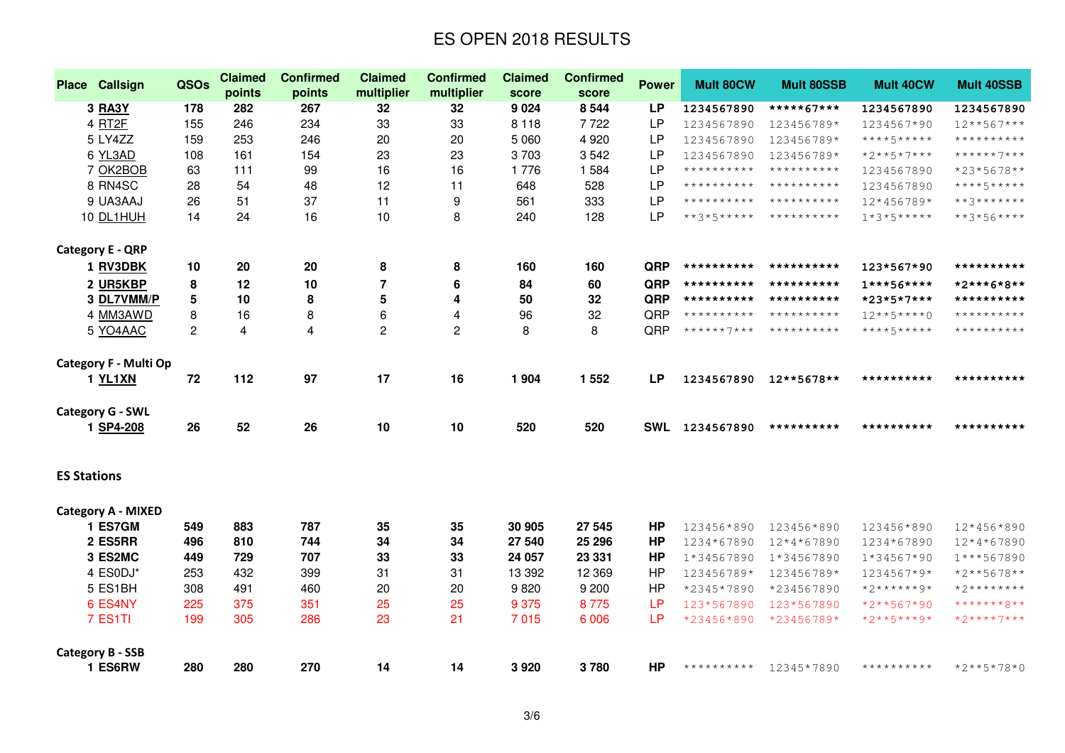|                    | <b>Place Callsign</b>              | QSOs | <b>Claimed</b>          | <b>Confirmed</b> | <b>Claimed</b><br>multiplier | <b>Confirmed</b> | <b>Claimed</b>  | <b>Confirmed</b> | <b>Power</b> | <b>Mult 80CW</b> | <b>Mult 80SSB</b> | <b>Mult 40CW</b> | <b>Mult 40SSB</b> |
|--------------------|------------------------------------|------|-------------------------|------------------|------------------------------|------------------|-----------------|------------------|--------------|------------------|-------------------|------------------|-------------------|
|                    | <b>3 RA3Y</b>                      | 178  | points<br>282           | points<br>267    | 32                           | multiplier<br>32 | score<br>9 0 24 | score<br>8 5 4 4 | <b>LP</b>    | 1234567890       | *****67***        | 1234567890       | 1234567890        |
|                    | 4 RT2F                             | 155  | 246                     | 234              | 33                           | 33               | 8 1 1 8         | 7722             | <b>LP</b>    | 1234567890       | 123456789*        | 1234567*90       | $12***567***$     |
|                    | 5 LY4ZZ                            | 159  | 253                     | 246              | 20                           | 20               | 5 0 6 0         | 4 9 2 0          | <b>LP</b>    | 1234567890       | 123456789*        | ****5*****       | **********        |
|                    | 6 YL3AD                            | 108  | 161                     | 154              | 23                           | 23               | 3703            | 3542             | <b>LP</b>    | 1234567890       | 123456789*        | $*2***5*7***$    | ******7***        |
|                    | 7 OK2BOB                           | 63   | 111                     | 99               | 16                           | 16               | 1776            | 1 5 8 4          | <b>LP</b>    | **********       | **********        | 1234567890       | *23*5678**        |
|                    | 8 RN4SC                            | 28   | 54                      | 48               | 12                           | 11               | 648             | 528              | <b>LP</b>    | **********       | **********        | 1234567890       | $***+5***$        |
|                    | 9 UA3AAJ                           | 26   | 51                      | 37               | 11                           | 9                | 561             | 333              | <b>LP</b>    | **********       | **********        | 12*456789*       | $***3********$    |
|                    | 10 DL1HUH                          | 14   | 24                      | 16               | 10                           | 8                | 240             | 128              | <b>LP</b>    | $**3*5****$      | **********        | $1*3*5***$       | $***3*56***$      |
|                    |                                    |      |                         |                  |                              |                  |                 |                  |              |                  |                   |                  |                   |
|                    | <b>Category E - QRP</b>            |      |                         |                  |                              |                  |                 |                  |              |                  |                   |                  |                   |
|                    | 1 RV3DBK                           | 10   | 20                      | 20               | 8                            | 8                | 160             | 160              | QRP          | **********       | **********        | 123*567*90       | **********        |
|                    | 2 UR5KBP                           | 8    | 12                      | 10               | $\overline{7}$               | 6                | 84              | 60               | QRP          | **********       | **********        | $1***56***$      | *2***6*8**        |
|                    | 3 DL7VMM/P                         | 5    | 10                      | 8                | 5                            | 4                | 50              | 32               | QRP          | **********       | **********        | *23*5*7***       | **********        |
|                    | 4 MM3AWD                           | 8    | 16                      | 8                | 6                            | 4                | 96              | 32               | QRP          | **********       | **********        | $12***5***0$     | **********        |
|                    | 5 YO4AAC                           | 2    | $\overline{\mathbf{4}}$ | 4                | $\overline{c}$               | $\overline{c}$   | 8               | 8                | QRP          | $******7***$     | **********        | ****5*****       | **********        |
|                    |                                    |      |                         |                  |                              |                  |                 |                  |              |                  |                   |                  |                   |
|                    | Category F - Multi Op              |      |                         |                  |                              |                  |                 |                  |              |                  |                   |                  |                   |
|                    | 1 YL1XN                            | 72   | 112                     | 97               | 17                           | 16               | 1 9 0 4         | 1 5 5 2          | <b>LP</b>    | 1234567890       | 12**5678**        | **********       | **********        |
|                    |                                    |      |                         |                  |                              |                  |                 |                  |              |                  |                   |                  |                   |
|                    | <b>Category G - SWL</b>            |      |                         |                  |                              |                  |                 |                  |              |                  |                   |                  |                   |
|                    | 1 SP4-208                          | 26   | 52                      | 26               | 10                           | 10               | 520             | 520              |              | SWL 1234567890   | **********        | **********       | **********        |
|                    |                                    |      |                         |                  |                              |                  |                 |                  |              |                  |                   |                  |                   |
|                    |                                    |      |                         |                  |                              |                  |                 |                  |              |                  |                   |                  |                   |
| <b>ES Stations</b> |                                    |      |                         |                  |                              |                  |                 |                  |              |                  |                   |                  |                   |
|                    | <b>Category A - MIXED</b>          |      |                         |                  |                              |                  |                 |                  |              |                  |                   |                  |                   |
|                    | 1 ES7GM                            | 549  | 883                     | 787              | 35                           | 35               | 30 905          | 27 545           | <b>HP</b>    | 123456*890       | 123456*890        | 123456*890       | 12*456*890        |
|                    | 2 ES5RR                            | 496  | 810                     | 744              | 34                           | 34               | 27 540          | 25 29 6          | <b>HP</b>    | 1234*67890       | 12*4*67890        | 1234*67890       | 12*4*67890        |
|                    | 3 ES2MC                            | 449  | 729                     | 707              | 33                           | 33               | 24 057          | 23 331           | <b>HP</b>    | 1*34567890       | 1*34567890        | $1*34567*90$     | 1***567890        |
|                    | 4 ES0DJ*                           | 253  | 432                     | 399              | 31                           | 31               | 13 3 9 2        | 12 3 69          | <b>HP</b>    | 123456789*       | 123456789*        | 1234567*9*       | $*2**5678**$      |
|                    | 5 ES1BH                            | 308  | 491                     | 460              | 20                           | 20               | 9820            | 9 2 0 0          | <b>HP</b>    | *2345*7890       | *234567890        | $*2******9*$     | $*2*********$     |
|                    | 6 ES4NY                            | 225  | 375                     | 351              | 25                           | 25               | 9 3 7 5         | 8775             | <b>LP</b>    | 123*567890       | 123*567890        | $*2**567*90$     | *******8**        |
|                    | 7 ES1TI                            | 199  | 305                     | 286              | 23                           | 21               | 7015            | 6 0 0 6          | LP           | *23456*890       | *23456789*        | $*2**5***9*$     | $*2***7***$       |
|                    |                                    |      |                         |                  |                              |                  |                 |                  |              |                  |                   |                  |                   |
|                    | <b>Category B - SSB</b><br>1 ES6RW | 280  | 280                     | 270              | 14                           | 14               | 3920            | 3780             | <b>HP</b>    | **********       | 12345*7890        | **********       | *2**5*78*0        |
|                    |                                    |      |                         |                  |                              |                  |                 |                  |              |                  |                   |                  |                   |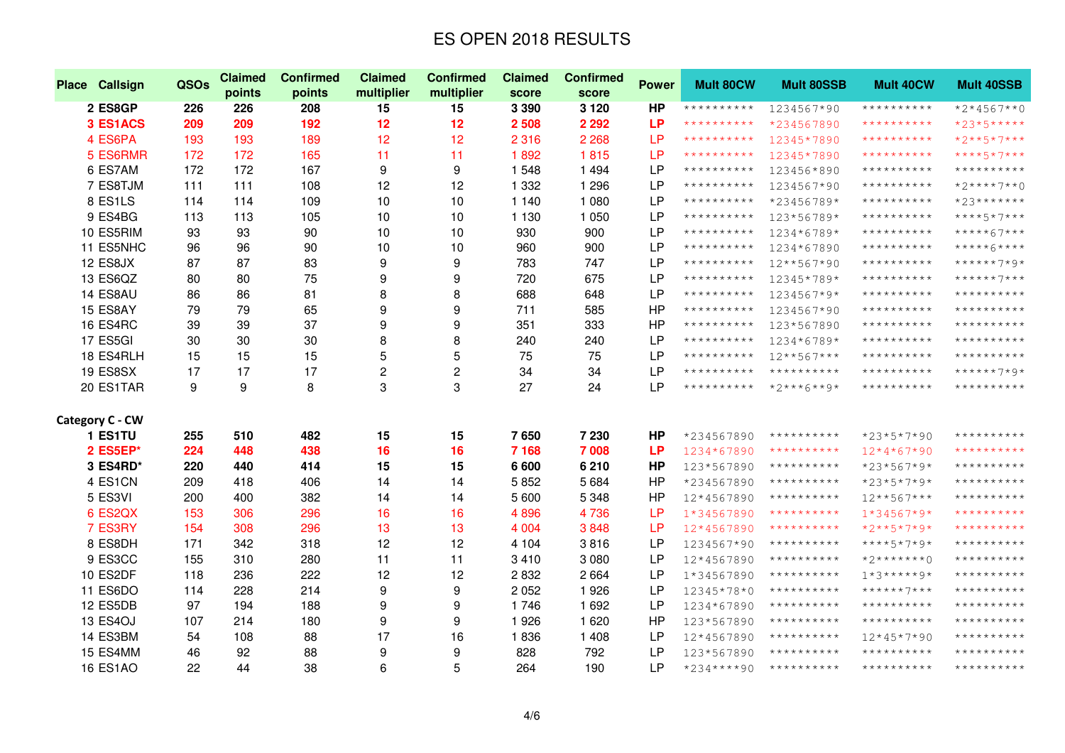| Place Callsign  | QSOs | <b>Claimed</b><br>points | <b>Confirmed</b><br>points | <b>Claimed</b><br>multiplier | <b>Confirmed</b><br>multiplier | <b>Claimed</b><br>score | <b>Confirmed</b><br>score | <b>Power</b> | <b>Mult 80CW</b> | <b>Mult 80SSB</b> | <b>Mult 40CW</b> | <b>Mult 40SSB</b> |
|-----------------|------|--------------------------|----------------------------|------------------------------|--------------------------------|-------------------------|---------------------------|--------------|------------------|-------------------|------------------|-------------------|
| 2 ES8GP         | 226  | 226                      | 208                        | 15                           | 15                             | 3 3 9 0                 | 3 1 2 0                   | <b>HP</b>    | **********       | 1234567*90        | **********       | $*2*4567**0$      |
| 3 ES1ACS        | 209  | 209                      | 192                        | 12                           | 12                             | 2 5 0 8                 | 2 2 9 2                   | <b>LP</b>    | **********       | *234567890        | **********       | *23*5*****        |
| 4 ES6PA         | 193  | 193                      | 189                        | 12                           | 12                             | 2 3 1 6                 | 2 2 6 8                   | <b>LP</b>    | **********       | 12345*7890        | **********       | *2**5*7***        |
| 5 ES6RMR        | 172  | 172                      | 165                        | 11                           | 11                             | 1892                    | 1815                      | <b>LP</b>    | **********       | 12345*7890        | **********       | ****5*7***        |
| 6 ES7AM         | 172  | 172                      | 167                        | 9                            | 9                              | 1 548                   | 1 4 9 4                   | <b>LP</b>    | **********       | 123456*890        | **********       | **********        |
| 7 ES8TJM        | 111  | 111                      | 108                        | 12                           | 12                             | 1 3 3 2                 | 1 2 9 6                   | <b>LP</b>    | **********       | 1234567*90        | **********       | $*2***7**0$       |
| 8 ES1LS         | 114  | 114                      | 109                        | 10                           | 10                             | 1 140                   | 1 0 8 0                   | <b>LP</b>    | **********       | *23456789*        | **********       | *23*******        |
| 9 ES4BG         | 113  | 113                      | 105                        | 10                           | 10                             | 1 1 3 0                 | 1 0 5 0                   | <b>LP</b>    | **********       | 123*56789*        | **********       | ****5*7***        |
| 10 ES5RIM       | 93   | 93                       | 90                         | 10                           | 10                             | 930                     | 900                       | <b>LP</b>    | **********       | 1234*6789*        | **********       | *****67***        |
| 11 ES5NHC       | 96   | 96                       | 90                         | 10                           | 10                             | 960                     | 900                       | <b>LP</b>    | **********       | 1234*67890        | **********       | *****6****        |
| 12 ES8JX        | 87   | 87                       | 83                         | 9                            | 9                              | 783                     | 747                       | <b>LP</b>    | **********       | 12**567*90        | **********       | ******7*9*        |
| 13 ES6QZ        | 80   | 80                       | 75                         | 9                            | 9                              | 720                     | 675                       | <b>LP</b>    | **********       | 12345*789*        | **********       | ******7***        |
| 14 ES8AU        | 86   | 86                       | 81                         | 8                            | 8                              | 688                     | 648                       | <b>LP</b>    | **********       | 1234567*9*        | **********       | **********        |
| 15 ES8AY        | 79   | 79                       | 65                         | 9                            | 9                              | 711                     | 585                       | HP           | **********       | 1234567*90        | **********       | **********        |
| <b>16 ES4RC</b> | 39   | 39                       | 37                         | 9                            | 9                              | 351                     | 333                       | <b>HP</b>    | **********       | 123*567890        | **********       | **********        |
| 17 ES5GI        | 30   | 30                       | 30                         | 8                            | 8                              | 240                     | 240                       | <b>LP</b>    | **********       | 1234*6789*        | **********       | **********        |
| 18 ES4RLH       | 15   | 15                       | 15                         | 5                            | 5                              | 75                      | 75                        | <b>LP</b>    | **********       | $12***567***$     | **********       | **********        |
| <b>19 ES8SX</b> | 17   | 17                       | 17                         | $\overline{\mathbf{c}}$      | $\overline{c}$                 | 34                      | 34                        | <b>LP</b>    | **********       | **********        | **********       | ******7*9*        |
| 20 ES1TAR       | 9    | 9                        | 8                          | 3                            | 3                              | 27                      | 24                        | <b>LP</b>    | **********       | $*2***6***9*$     | **********       | **********        |
| Category C - CW |      |                          |                            |                              |                                |                         |                           |              |                  |                   |                  |                   |
| 1 ES1TU         | 255  | 510                      | 482                        | 15                           | 15                             | 7650                    | 7 2 3 0                   | <b>HP</b>    | *234567890       | **********        | *23*5*7*90       | **********        |
| 2 ES5EP*        | 224  | 448                      | 438                        | 16                           | 16                             | 7 1 6 8                 | 7 008                     | <b>LP</b>    | 1234*67890       | **********        | $12*4*67*90$     | **********        |
| 3 ES4RD*        | 220  | 440                      | 414                        | 15                           | 15                             | 6 600                   | 6210                      | <b>HP</b>    | 123*567890       | **********        | $*23*567*9*$     | **********        |
| 4 ES1CN         | 209  | 418                      | 406                        | 14                           | 14                             | 5852                    | 5 6 8 4                   | <b>HP</b>    | *234567890       | **********        | $*23*5*7*9*$     | **********        |
| 5 ES3VI         | 200  | 400                      | 382                        | 14                           | 14                             | 5 600                   | 5 3 4 8                   | HP           | 12*4567890       | **********        | $12***567***$    | **********        |
| 6 ES2QX         | 153  | 306                      | 296                        | 16                           | 16                             | 4896                    | 4736                      | <b>LP</b>    | 1*34567890       | **********        | $1*34567*9*$     | **********        |
| 7 ES3RY         | 154  | 308                      | 296                        | 13                           | 13                             | 4 0 0 4                 | 3848                      | <b>LP</b>    | 12*4567890       | **********        | $*2**5*7*9*$     | **********        |
| 8 ES8DH         | 171  | 342                      | 318                        | 12                           | 12                             | 4 1 0 4                 | 3816                      | <b>LP</b>    | 1234567*90       | **********        | $****5*7*9*$     | **********        |
| 9 ES3CC         | 155  | 310                      | 280                        | 11                           | 11                             | 3 4 1 0                 | 3 0 8 0                   | <b>LP</b>    | 12*4567890       | **********        | $*2******0$      | **********        |
| 10 ES2DF        | 118  | 236                      | 222                        | 12                           | 12                             | 2832                    | 2 6 6 4                   | <b>LP</b>    | 1*34567890       | **********        | $1*3****9*$      | **********        |
| 11 ES6DO        | 114  | 228                      | 214                        | 9                            | 9                              | 2052                    | 1926                      | <b>LP</b>    | 12345*78*0       | **********        | ******7***       | **********        |
| 12 ES5DB        | 97   | 194                      | 188                        | 9                            | 9                              | 1746                    | 1 6 9 2                   | LP           | 1234*67890       | **********        | **********       | **********        |
| <b>13 ES4OJ</b> | 107  | 214                      | 180                        | 9                            | 9                              | 1926                    | 1 6 2 0                   | <b>HP</b>    | 123*567890       | **********        | **********       | **********        |
| 14 ES3BM        | 54   | 108                      | 88                         | 17                           | 16                             | 1836                    | 1 4 0 8                   | <b>LP</b>    | 12*4567890       | **********        | 12*45*7*90       | **********        |
| 15 ES4MM        | 46   | 92                       | 88                         | 9                            | 9                              | 828                     | 792                       | <b>LP</b>    | 123*567890       | **********        | **********       | **********        |
| <b>16 ES1AO</b> | 22   | 44                       | 38                         | 6                            | 5                              | 264                     | 190                       | <b>LP</b>    | *234****90       | **********        | **********       | **********        |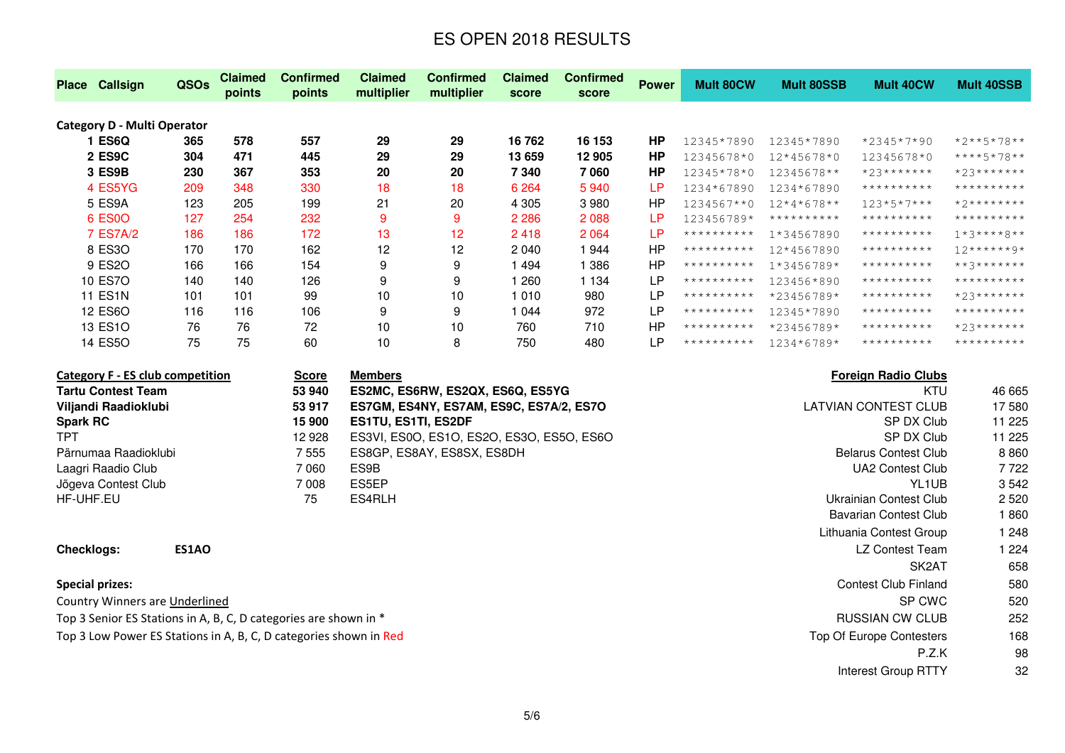|                                    | <b>Place Callsign</b> | QSOs | <b>Claimed</b><br>points | <b>Confirmed</b><br>points | <b>Claimed</b><br>multiplier | <b>Confirmed</b><br>multiplier | <b>Claimed</b><br>score | <b>Confirmed</b><br>score | <b>Power</b> | Mult 80CW  | <b>Mult 80SSB</b> | <b>Mult 40CW</b> | Mult 40SSB              |
|------------------------------------|-----------------------|------|--------------------------|----------------------------|------------------------------|--------------------------------|-------------------------|---------------------------|--------------|------------|-------------------|------------------|-------------------------|
| <b>Category D - Multi Operator</b> |                       |      |                          |                            |                              |                                |                         |                           |              |            |                   |                  |                         |
|                                    | ES6Q                  | 365  | 578                      | 557                        | 29                           | 29                             | 16762                   | 16 153                    | ΗP           | 12345*7890 | 12345*7890        | *2345*7*90       | *2**5*78**              |
|                                    | 2 ES9C                | 304  | 471                      | 445                        | 29                           | 29                             | 13 659                  | 12 905                    | ΗP           | 12345678*0 | 12*45678*0        | 12345678*0       | ****5*78**              |
|                                    | 3 ES9B                | 230  | 367                      | 353                        | 20                           | 20                             | 7 340                   | 7060                      | <b>HP</b>    | 12345*78*0 | 12345678**        | $*23******$      | $*23******$             |
|                                    | 4 ES5YG               | 209  | 348                      | 330                        | 18                           | 18                             | 6 2 6 4                 | 5940                      | LP           | 1234*67890 | 1234*67890        | **********       | **********              |
|                                    | 5 ES9A                | 123  | 205                      | 199                        | 21                           | 20                             | 4 3 0 5                 | 3980                      | НP           | 1234567**0 | $12*4*678**$      | $123*5*7***$     | $*2*********$           |
|                                    | 6 ES0O                | 127  | 254                      | 232                        | 9                            | 9                              | 2 2 8 6                 | 2 0 8 8                   | LP           | 123456789* | **********        | **********       | **********              |
|                                    | 7 ES7A/2              | 186  | 186                      | 172                        | 13                           | 12 <sub>2</sub>                | 2418                    | 2 0 6 4                   | LР           | ********** | 1*34567890        | **********       | $1 * 3 * * * * * 8 * *$ |
|                                    | 8 ES30                | 170  | 170                      | 162                        | 12                           | 12                             | 2 0 4 0                 | 1944                      | HΡ           | ********** | 12*4567890        | **********       | $12******9*$            |
|                                    | 9 ES2O                | 166  | 166                      | 154                        | 9                            | 9                              | 1494                    | 1 386                     | НP           | ********** | 1*3456789*        | **********       | $***3********$          |
|                                    | 10 ES7O               | 140  | 140                      | 126                        | 9                            | 9                              | 260                     | 1 1 3 4                   | LP           | ********** | 123456*890        | **********       | **********              |
|                                    | <b>11 ES1N</b>        | 101  | 101                      | 99                         | 10                           | 10                             | 1 010                   | 980                       | LP           | ********** | *23456789*        | **********       | $*23******$             |
|                                    | 12 ES6O               | 116  | 116                      | 106                        | 9                            | 9                              | 1044                    | 972                       | LP           | ********** | 12345*7890        | **********       | **********              |
|                                    | 13 ES1O               | 76   | 76                       | 72                         | 10                           | 10                             | 760                     | 710                       | HP           | ********** | *23456789*        | **********       | $*23******$             |
|                                    | 14 ES5O               | 75   | 75                       | 60                         | 10                           | 8                              | 750                     | 480                       | LP           | ********** | 1234*6789*        | **********       | **********              |

| Category F - ES club competition                                  |              | Score   | <b>Members</b>                            | <b>Foreign Radio Clubs</b>  |          |
|-------------------------------------------------------------------|--------------|---------|-------------------------------------------|-----------------------------|----------|
| <b>Tartu Contest Team</b>                                         |              | 53 940  | ES2MC, ES6RW, ES2QX, ES6Q, ES5YG          | KTU                         | 46 665   |
| Viljandi Raadioklubi                                              |              | 53 917  | ES7GM, ES4NY, ES7AM, ES9C, ES7A/2, ES7O   | LATVIAN CONTEST CLUB        | 17580    |
| <b>Spark RC</b>                                                   |              | 15 900  | <b>ES1TU, ES1TI, ES2DF</b>                | SP DX Club                  | 11 2 2 5 |
| <b>TPT</b>                                                        |              | 12 928  | ES3VI, ES0O, ES1O, ES2O, ES3O, ES5O, ES6O | SP DX Club                  | 11 2 25  |
| Pärnumaa Raadioklubi                                              |              | 7 5 5 5 | ES8GP, ES8AY, ES8SX, ES8DH                | <b>Belarus Contest Club</b> | 8860     |
| Laagri Raadio Club                                                |              | 7 0 6 0 | ES9B                                      | UA2 Contest Club            | 7 722    |
| Jõgeva Contest Club                                               |              | 7 008   | ES5EP                                     | YL1UB                       | 3 5 4 2  |
| HF-UHF.EU                                                         |              | 75      | ES4RLH                                    | Ukrainian Contest Club      | 2 5 2 0  |
|                                                                   |              |         |                                           | Bavarian Contest Club       | 1860     |
|                                                                   |              |         |                                           | Lithuania Contest Group     | 1 2 4 8  |
| <b>Checklogs:</b>                                                 | <b>ES1AO</b> |         |                                           | LZ Contest Team             | 1 2 2 4  |
|                                                                   |              |         |                                           | SK <sub>2</sub> AT          | 658      |
| <b>Special prizes:</b>                                            |              |         |                                           | <b>Contest Club Finland</b> | 580      |
| Country Winners are Underlined                                    |              |         |                                           | SP CWC                      | 520      |
| Top 3 Senior ES Stations in A, B, C, D categories are shown in *  |              |         |                                           | <b>RUSSIAN CW CLUB</b>      | 252      |
| Top 3 Low Power ES Stations in A, B, C, D categories shown in Red |              |         |                                           | Top Of Europe Contesters    | 168      |
|                                                                   |              |         |                                           | P.Z.K                       | 98       |
|                                                                   |              |         |                                           | Interest Group RTTY         | 32       |